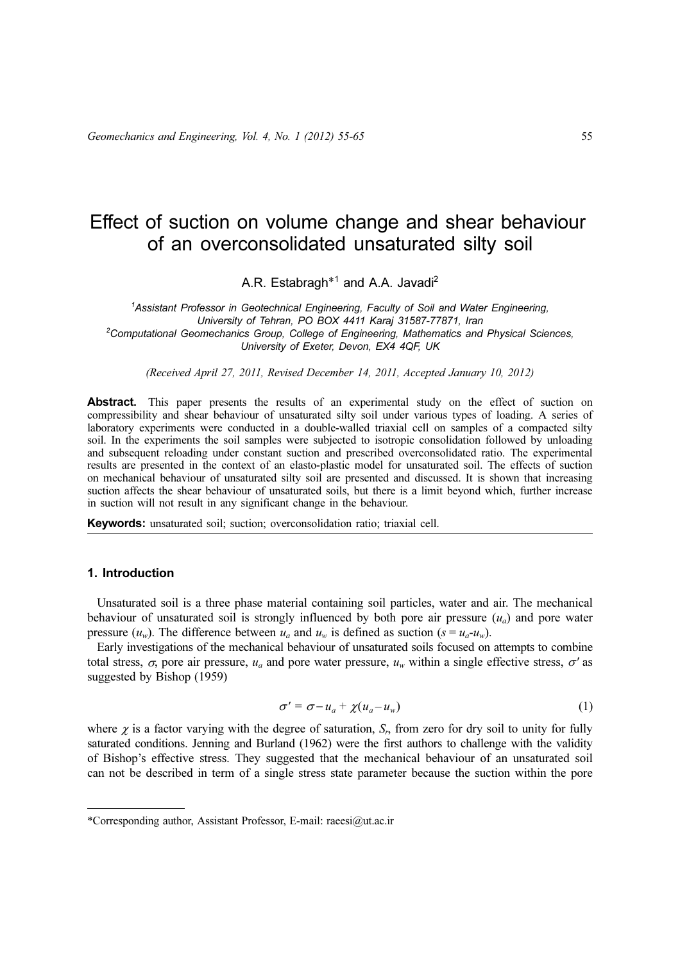# Effect of suction on volume change and shear behaviour of an overconsolidated unsaturated silty soil

A.R. Estabragh<sup>\*1</sup> and A.A. Javadi<sup>2</sup>

<sup>1</sup>Assistant Professor in Geotechnical Engineering, Faculty of Soil and Water Engineering, University of Tehran, PO BOX 4411 Karaj 31587-77871, Iran <sup>2</sup>  $2$ Computational Geomechanics Group, College of Engineering, Mathematics and Physical Sciences, University of Exeter, Devon, EX4 4QF, UK

(Received April 27, 2011, Revised December 14, 2011, Accepted January 10, 2012)

Abstract. This paper presents the results of an experimental study on the effect of suction on compressibility and shear behaviour of unsaturated silty soil under various types of loading. A series of laboratory experiments were conducted in a double-walled triaxial cell on samples of a compacted silty soil. In the experiments the soil samples were subjected to isotropic consolidation followed by unloading and subsequent reloading under constant suction and prescribed overconsolidated ratio. The experimental results are presented in the context of an elasto-plastic model for unsaturated soil. The effects of suction on mechanical behaviour of unsaturated silty soil are presented and discussed. It is shown that increasing suction affects the shear behaviour of unsaturated soils, but there is a limit beyond which, further increase in suction will not result in any significant change in the behaviour.

Keywords: unsaturated soil; suction; overconsolidation ratio; triaxial cell.

## 1. Introduction

Unsaturated soil is a three phase material containing soil particles, water and air. The mechanical behaviour of unsaturated soil is strongly influenced by both pore air pressure  $(u_a)$  and pore water pressure  $(u_w)$ . The difference between  $u_a$  and  $u_w$  is defined as suction  $(s = u_a - u_w)$ .

Early investigations of the mechanical behaviour of unsaturated soils focused on attempts to combine total stress,  $\sigma$ , pore air pressure,  $u_a$  and pore water pressure,  $u_w$  within a single effective stress,  $\sigma'$  as suggested by Bishop (1959)

$$
\sigma' = \sigma - u_a + \chi(u_a - u_w) \tag{1}
$$

where  $\chi$  is a factor varying with the degree of saturation,  $S_r$ , from zero for dry soil to unity for fully saturated conditions. Jenning and Burland (1962) were the first authors to challenge with the validity of Bishop's effective stress. They suggested that the mechanical behaviour of an unsaturated soil can not be described in term of a single stress state parameter because the suction within the pore

<sup>\*</sup>Corresponding author, Assistant Professor, E-mail: raeesi@ut.ac.ir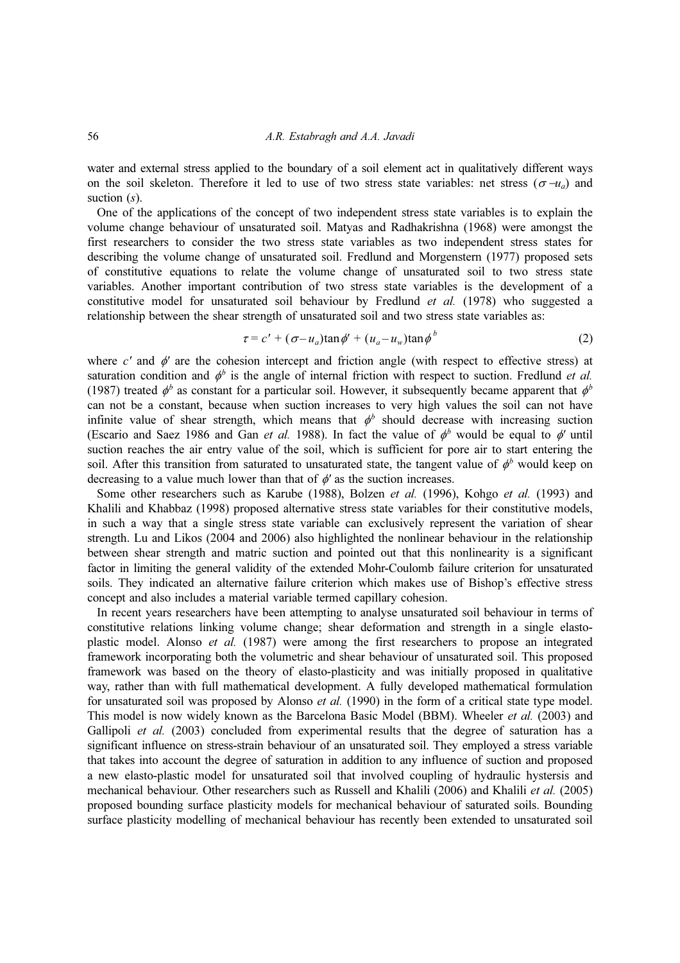#### 56 A.R. Estabragh and A.A. Javadi

water and external stress applied to the boundary of a soil element act in qualitatively different ways on the soil skeleton. Therefore it led to use of two stress state variables: net stress ( $\sigma$  −u<sub>a</sub>) and suction  $(s)$ .

One of the applications of the concept of two independent stress state variables is to explain the volume change behaviour of unsaturated soil. Matyas and Radhakrishna (1968) were amongst the first researchers to consider the two stress state variables as two independent stress states for describing the volume change of unsaturated soil. Fredlund and Morgenstern (1977) proposed sets of constitutive equations to relate the volume change of unsaturated soil to two stress state variables. Another important contribution of two stress state variables is the development of a constitutive model for unsaturated soil behaviour by Fredlund et al. (1978) who suggested a relationship between the shear strength of unsaturated soil and two stress state variables as:

$$
\tau = c' + (\sigma - u_a)\tan\phi' + (u_a - u_w)\tan\phi^b \tag{2}
$$

where  $c'$  and  $\phi'$  are the cohesion intercept and friction angle (with respect to effective stress) at saturation condition and  $\phi^b$  is the angle of internal friction with respect to suction. Fredlund *et al.* (1987) treated  $\phi^b$  as constant for a particular soil. However, it subsequently became apparent that  $\phi^b$ can not be a constant, because when suction increases to very high values the soil can not have infinite value of shear strength, which means that  $\phi^b$  should decrease with increasing suction (Escario and Saez 1986 and Gan et al. 1988). In fact the value of  $\phi^b$  would be equal to  $\phi'$  until suction reaches the air entry value of the soil, which is sufficient for pore air to start entering the soil. After this transition from saturated to unsaturated state, the tangent value of  $\phi^b$  would keep on decreasing to a value much lower than that of  $\phi'$  as the suction increases.

Some other researchers such as Karube (1988), Bolzen et al. (1996), Kohgo et al. (1993) and Khalili and Khabbaz (1998) proposed alternative stress state variables for their constitutive models, in such a way that a single stress state variable can exclusively represent the variation of shear strength. Lu and Likos (2004 and 2006) also highlighted the nonlinear behaviour in the relationship between shear strength and matric suction and pointed out that this nonlinearity is a significant factor in limiting the general validity of the extended Mohr-Coulomb failure criterion for unsaturated soils. They indicated an alternative failure criterion which makes use of Bishop's effective stress concept and also includes a material variable termed capillary cohesion.

In recent years researchers have been attempting to analyse unsaturated soil behaviour in terms of constitutive relations linking volume change; shear deformation and strength in a single elastoplastic model. Alonso et al. (1987) were among the first researchers to propose an integrated framework incorporating both the volumetric and shear behaviour of unsaturated soil. This proposed framework was based on the theory of elasto-plasticity and was initially proposed in qualitative way, rather than with full mathematical development. A fully developed mathematical formulation for unsaturated soil was proposed by Alonso *et al.* (1990) in the form of a critical state type model. This model is now widely known as the Barcelona Basic Model (BBM). Wheeler et al. (2003) and Gallipoli et al. (2003) concluded from experimental results that the degree of saturation has a significant influence on stress-strain behaviour of an unsaturated soil. They employed a stress variable that takes into account the degree of saturation in addition to any influence of suction and proposed a new elasto-plastic model for unsaturated soil that involved coupling of hydraulic hystersis and mechanical behaviour. Other researchers such as Russell and Khalili (2006) and Khalili et al. (2005) proposed bounding surface plasticity models for mechanical behaviour of saturated soils. Bounding surface plasticity modelling of mechanical behaviour has recently been extended to unsaturated soil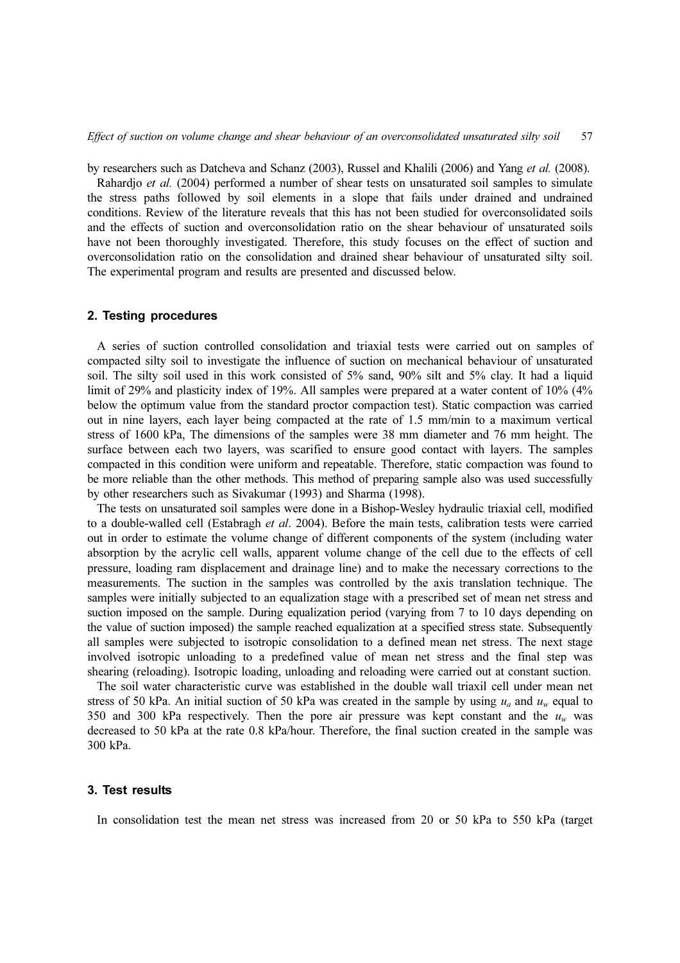by researchers such as Datcheva and Schanz (2003), Russel and Khalili (2006) and Yang et al. (2008).

Rahardjo et al. (2004) performed a number of shear tests on unsaturated soil samples to simulate the stress paths followed by soil elements in a slope that fails under drained and undrained conditions. Review of the literature reveals that this has not been studied for overconsolidated soils and the effects of suction and overconsolidation ratio on the shear behaviour of unsaturated soils have not been thoroughly investigated. Therefore, this study focuses on the effect of suction and overconsolidation ratio on the consolidation and drained shear behaviour of unsaturated silty soil. The experimental program and results are presented and discussed below.

### 2. Testing procedures

A series of suction controlled consolidation and triaxial tests were carried out on samples of compacted silty soil to investigate the influence of suction on mechanical behaviour of unsaturated soil. The silty soil used in this work consisted of 5% sand, 90% silt and 5% clay. It had a liquid limit of 29% and plasticity index of 19%. All samples were prepared at a water content of 10% (4% below the optimum value from the standard proctor compaction test). Static compaction was carried out in nine layers, each layer being compacted at the rate of 1.5 mm/min to a maximum vertical stress of 1600 kPa, The dimensions of the samples were 38 mm diameter and 76 mm height. The surface between each two layers, was scarified to ensure good contact with layers. The samples compacted in this condition were uniform and repeatable. Therefore, static compaction was found to be more reliable than the other methods. This method of preparing sample also was used successfully by other researchers such as Sivakumar (1993) and Sharma (1998).

The tests on unsaturated soil samples were done in a Bishop-Wesley hydraulic triaxial cell, modified to a double-walled cell (Estabragh et al. 2004). Before the main tests, calibration tests were carried out in order to estimate the volume change of different components of the system (including water absorption by the acrylic cell walls, apparent volume change of the cell due to the effects of cell pressure, loading ram displacement and drainage line) and to make the necessary corrections to the measurements. The suction in the samples was controlled by the axis translation technique. The samples were initially subjected to an equalization stage with a prescribed set of mean net stress and suction imposed on the sample. During equalization period (varying from 7 to 10 days depending on the value of suction imposed) the sample reached equalization at a specified stress state. Subsequently all samples were subjected to isotropic consolidation to a defined mean net stress. The next stage involved isotropic unloading to a predefined value of mean net stress and the final step was shearing (reloading). Isotropic loading, unloading and reloading were carried out at constant suction.

The soil water characteristic curve was established in the double wall triaxil cell under mean net stress of 50 kPa. An initial suction of 50 kPa was created in the sample by using  $u_a$  and  $u_w$  equal to 350 and 300 kPa respectively. Then the pore air pressure was kept constant and the  $u_w$  was decreased to 50 kPa at the rate 0.8 kPa/hour. Therefore, the final suction created in the sample was 300 kPa.

#### 3. Test results

In consolidation test the mean net stress was increased from 20 or 50 kPa to 550 kPa (target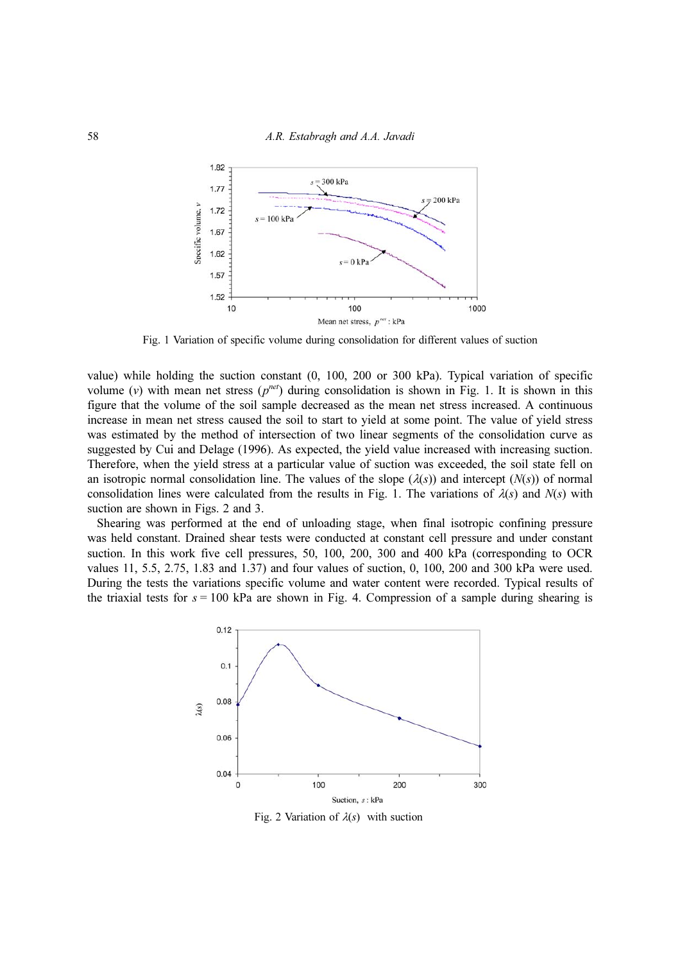

Fig. 1 Variation of specific volume during consolidation for different values of suction

value) while holding the suction constant (0, 100, 200 or 300 kPa). Typical variation of specific volume (v) with mean net stress  $(p^{net})$  during consolidation is shown in Fig. 1. It is shown in this figure that the volume of the soil sample decreased as the mean net stress increased. A continuous increase in mean net stress caused the soil to start to yield at some point. The value of yield stress was estimated by the method of intersection of two linear segments of the consolidation curve as suggested by Cui and Delage (1996). As expected, the yield value increased with increasing suction. Therefore, when the yield stress at a particular value of suction was exceeded, the soil state fell on an isotropic normal consolidation line. The values of the slope  $(\lambda(s))$  and intercept  $(N(s))$  of normal consolidation lines were calculated from the results in Fig. 1. The variations of  $\lambda(s)$  and  $N(s)$  with suction are shown in Figs. 2 and 3.

Shearing was performed at the end of unloading stage, when final isotropic confining pressure was held constant. Drained shear tests were conducted at constant cell pressure and under constant suction. In this work five cell pressures, 50, 100, 200, 300 and 400 kPa (corresponding to OCR values 11, 5.5, 2.75, 1.83 and 1.37) and four values of suction, 0, 100, 200 and 300 kPa were used. During the tests the variations specific volume and water content were recorded. Typical results of the triaxial tests for  $s = 100$  kPa are shown in Fig. 4. Compression of a sample during shearing is



Fig. 2 Variation of  $\lambda(s)$  with suction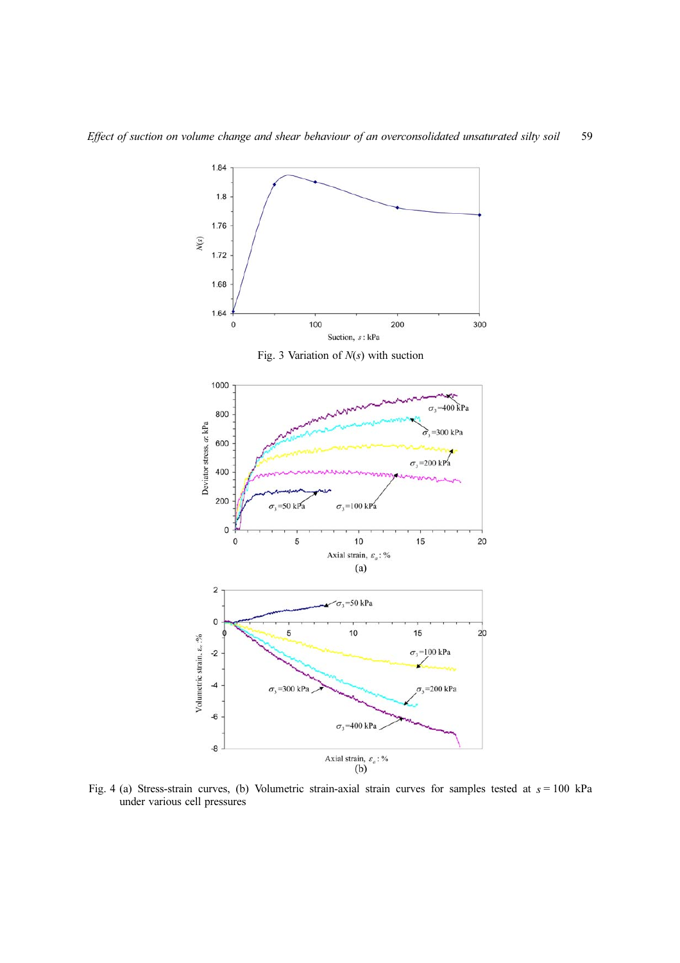

Fig. 4 (a) Stress-strain curves, (b) Volumetric strain-axial strain curves for samples tested at  $s = 100$  kPa under various cell pressures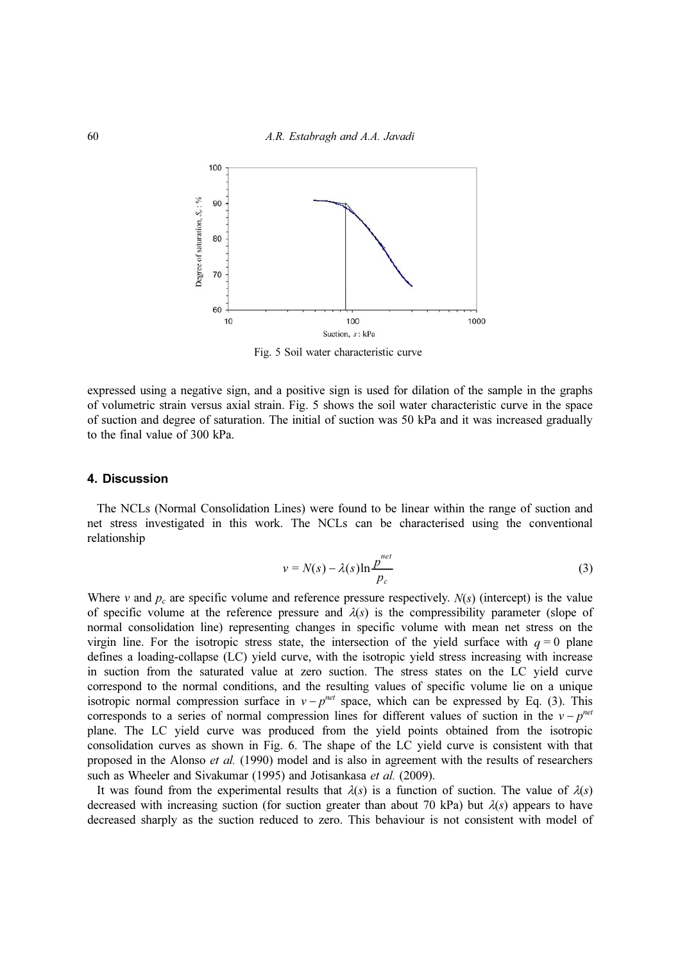

Fig. 5 Soil water characteristic curve

expressed using a negative sign, and a positive sign is used for dilation of the sample in the graphs of volumetric strain versus axial strain. Fig. 5 shows the soil water characteristic curve in the space of suction and degree of saturation. The initial of suction was 50 kPa and it was increased gradually to the final value of 300 kPa.

#### 4. Discussion

The NCLs (Normal Consolidation Lines) were found to be linear within the range of suction and net stress investigated in this work. The NCLs can be characterised using the conventional relationship

$$
v = N(s) - \lambda(s) \ln \frac{p^{net}}{p_c}
$$
 (3)

Where v and  $p_c$  are specific volume and reference pressure respectively.  $N(s)$  (intercept) is the value of specific volume at the reference pressure and  $\lambda(s)$  is the compressibility parameter (slope of normal consolidation line) representing changes in specific volume with mean net stress on the virgin line. For the isotropic stress state, the intersection of the yield surface with  $q = 0$  plane defines a loading-collapse (LC) yield curve, with the isotropic yield stress increasing with increase in suction from the saturated value at zero suction. The stress states on the LC yield curve correspond to the normal conditions, and the resulting values of specific volume lie on a unique isotropic normal compression surface in  $v - p^{net}$  space, which can be expressed by Eq. (3). This corresponds to a series of normal compression lines for different values of suction in the  $v - p^{net}$ plane. The LC yield curve was produced from the yield points obtained from the isotropic consolidation curves as shown in Fig. 6. The shape of the LC yield curve is consistent with that proposed in the Alonso et al. (1990) model and is also in agreement with the results of researchers such as Wheeler and Sivakumar (1995) and Jotisankasa et al. (2009).

It was found from the experimental results that  $\lambda(s)$  is a function of suction. The value of  $\lambda(s)$ decreased with increasing suction (for suction greater than about 70 kPa) but  $\lambda(s)$  appears to have decreased sharply as the suction reduced to zero. This behaviour is not consistent with model of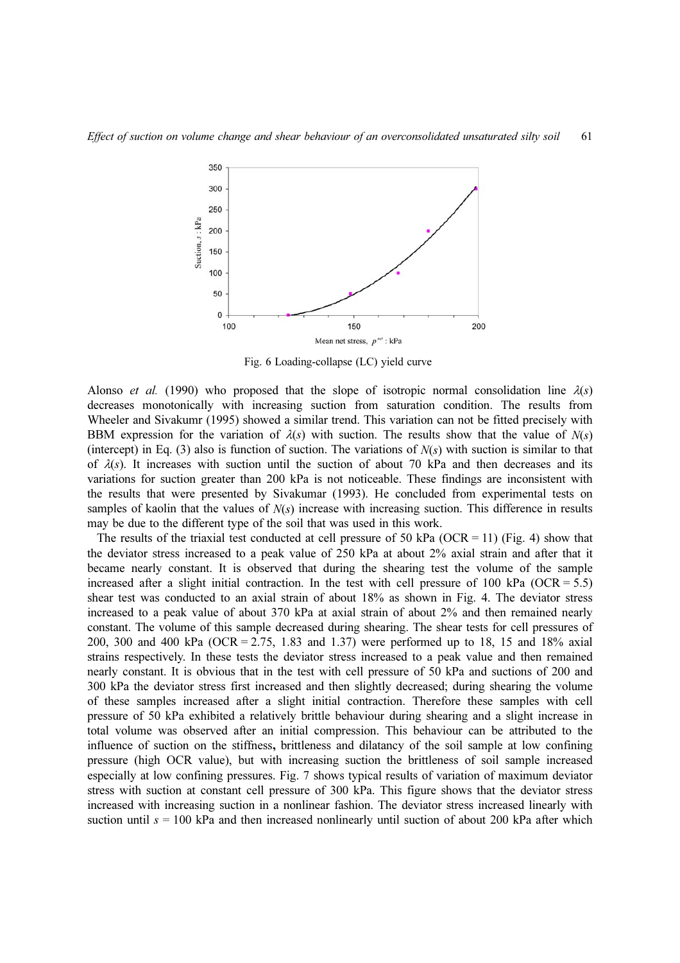

Fig. 6 Loading-collapse (LC) yield curve

Alonso *et al.* (1990) who proposed that the slope of isotropic normal consolidation line  $\lambda(s)$ decreases monotonically with increasing suction from saturation condition. The results from Wheeler and Sivakumr (1995) showed a similar trend. This variation can not be fitted precisely with BBM expression for the variation of  $\lambda(s)$  with suction. The results show that the value of  $N(s)$ (intercept) in Eq. (3) also is function of suction. The variations of  $N(s)$  with suction is similar to that of  $\lambda(s)$ . It increases with suction until the suction of about 70 kPa and then decreases and its variations for suction greater than 200 kPa is not noticeable. These findings are inconsistent with the results that were presented by Sivakumar (1993). He concluded from experimental tests on samples of kaolin that the values of  $N(s)$  increase with increasing suction. This difference in results may be due to the different type of the soil that was used in this work.

The results of the triaxial test conducted at cell pressure of 50 kPa (OCR = 11) (Fig. 4) show that the deviator stress increased to a peak value of 250 kPa at about 2% axial strain and after that it became nearly constant. It is observed that during the shearing test the volume of the sample increased after a slight initial contraction. In the test with cell pressure of 100 kPa (OCR = 5.5) shear test was conducted to an axial strain of about 18% as shown in Fig. 4. The deviator stress increased to a peak value of about 370 kPa at axial strain of about 2% and then remained nearly constant. The volume of this sample decreased during shearing. The shear tests for cell pressures of 200, 300 and 400 kPa (OCR = 2.75, 1.83 and 1.37) were performed up to 18, 15 and 18% axial strains respectively. In these tests the deviator stress increased to a peak value and then remained nearly constant. It is obvious that in the test with cell pressure of 50 kPa and suctions of 200 and 300 kPa the deviator stress first increased and then slightly decreased; during shearing the volume of these samples increased after a slight initial contraction. Therefore these samples with cell pressure of 50 kPa exhibited a relatively brittle behaviour during shearing and a slight increase in total volume was observed after an initial compression. This behaviour can be attributed to the influence of suction on the stiffness, brittleness and dilatancy of the soil sample at low confining pressure (high OCR value), but with increasing suction the brittleness of soil sample increased especially at low confining pressures. Fig. 7 shows typical results of variation of maximum deviator stress with suction at constant cell pressure of 300 kPa. This figure shows that the deviator stress increased with increasing suction in a nonlinear fashion. The deviator stress increased linearly with suction until  $s = 100$  kPa and then increased nonlinearly until suction of about 200 kPa after which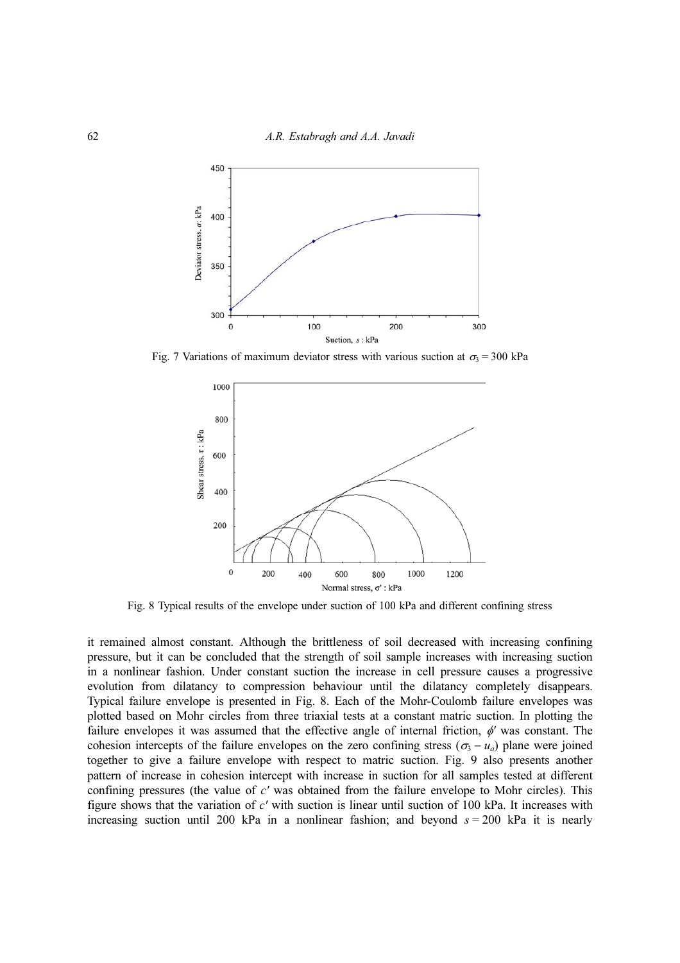

Fig. 7 Variations of maximum deviator stress with various suction at  $\sigma_3 = 300$  kPa



Fig. 8 Typical results of the envelope under suction of 100 kPa and different confining stress

it remained almost constant. Although the brittleness of soil decreased with increasing confining pressure, but it can be concluded that the strength of soil sample increases with increasing suction in a nonlinear fashion. Under constant suction the increase in cell pressure causes a progressive evolution from dilatancy to compression behaviour until the dilatancy completely disappears. Typical failure envelope is presented in Fig. 8. Each of the Mohr-Coulomb failure envelopes was plotted based on Mohr circles from three triaxial tests at a constant matric suction. In plotting the failure envelopes it was assumed that the effective angle of internal friction,  $\phi'$  was constant. The cohesion intercepts of the failure envelopes on the zero confining stress ( $\sigma_3 - u_a$ ) plane were joined together to give a failure envelope with respect to matric suction. Fig. 9 also presents another pattern of increase in cohesion intercept with increase in suction for all samples tested at different confining pressures (the value of c' was obtained from the failure envelope to Mohr circles). This figure shows that the variation of c' with suction is linear until suction of 100 kPa. It increases with increasing suction until 200 kPa in a nonlinear fashion; and beyond  $s = 200$  kPa it is nearly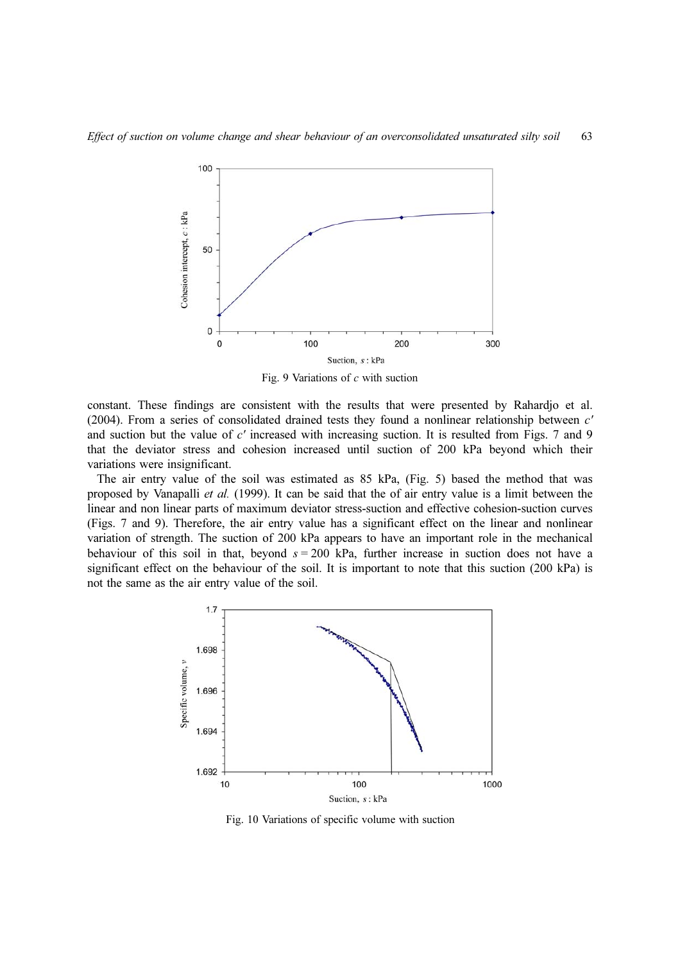

Fig. 9 Variations of  $c$  with suction

constant. These findings are consistent with the results that were presented by Rahardjo et al. (2004). From a series of consolidated drained tests they found a nonlinear relationship between c' and suction but the value of c' increased with increasing suction. It is resulted from Figs. 7 and 9 that the deviator stress and cohesion increased until suction of 200 kPa beyond which their variations were insignificant.

The air entry value of the soil was estimated as 85 kPa, (Fig. 5) based the method that was proposed by Vanapalli et al. (1999). It can be said that the of air entry value is a limit between the linear and non linear parts of maximum deviator stress-suction and effective cohesion-suction curves (Figs. 7 and 9). Therefore, the air entry value has a significant effect on the linear and nonlinear variation of strength. The suction of 200 kPa appears to have an important role in the mechanical behaviour of this soil in that, beyond  $s = 200$  kPa, further increase in suction does not have a significant effect on the behaviour of the soil. It is important to note that this suction (200 kPa) is not the same as the air entry value of the soil.



Fig. 10 Variations of specific volume with suction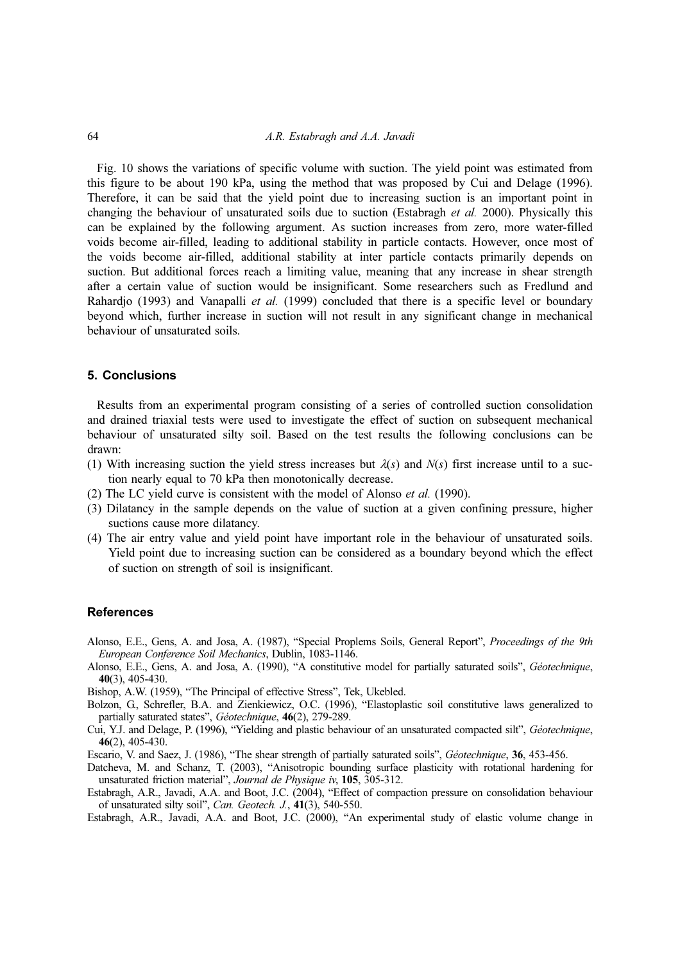Fig. 10 shows the variations of specific volume with suction. The yield point was estimated from this figure to be about 190 kPa, using the method that was proposed by Cui and Delage (1996). Therefore, it can be said that the yield point due to increasing suction is an important point in changing the behaviour of unsaturated soils due to suction (Estabragh et al. 2000). Physically this can be explained by the following argument. As suction increases from zero, more water-filled voids become air-filled, leading to additional stability in particle contacts. However, once most of the voids become air-filled, additional stability at inter particle contacts primarily depends on suction. But additional forces reach a limiting value, meaning that any increase in shear strength after a certain value of suction would be insignificant. Some researchers such as Fredlund and Rahardjo (1993) and Vanapalli *et al.* (1999) concluded that there is a specific level or boundary beyond which, further increase in suction will not result in any significant change in mechanical behaviour of unsaturated soils.

#### 5. Conclusions

Results from an experimental program consisting of a series of controlled suction consolidation and drained triaxial tests were used to investigate the effect of suction on subsequent mechanical behaviour of unsaturated silty soil. Based on the test results the following conclusions can be drawn:

- (1) With increasing suction the yield stress increases but  $\lambda(s)$  and  $N(s)$  first increase until to a suction nearly equal to 70 kPa then monotonically decrease.
- (2) The LC yield curve is consistent with the model of Alonso et al. (1990).
- (3) Dilatancy in the sample depends on the value of suction at a given confining pressure, higher suctions cause more dilatancy.
- (4) The air entry value and yield point have important role in the behaviour of unsaturated soils. Yield point due to increasing suction can be considered as a boundary beyond which the effect of suction on strength of soil is insignificant.

#### **References**

- Alonso, E.E., Gens, A. and Josa, A. (1987), "Special Proplems Soils, General Report", Proceedings of the 9th European Conference Soil Mechanics, Dublin, 1083-1146.
- Alonso, E.E., Gens, A. and Josa, A. (1990), "A constitutive model for partially saturated soils", Géotechnique, 40(3), 405-430.
- Bishop, A.W. (1959), "The Principal of effective Stress", Tek, Ukebled.
- Bolzon, G., Schrefler, B.A. and Zienkiewicz, O.C. (1996), "Elastoplastic soil constitutive laws generalized to partially saturated states", Géotechnique, 46(2), 279-289.
- Cui, Y.J. and Delage, P. (1996), "Yielding and plastic behaviour of an unsaturated compacted silt", Géotechnique, 46(2), 405-430.
- Escario, V. and Saez, J. (1986), "The shear strength of partially saturated soils", Géotechnique, 36, 453-456.
- Datcheva, M. and Schanz, T. (2003), "Anisotropic bounding surface plasticity with rotational hardening for unsaturated friction material", Journal de Physique iv, 105, 305-312.
- Estabragh, A.R., Javadi, A.A. and Boot, J.C. (2004), "Effect of compaction pressure on consolidation behaviour of unsaturated silty soil", Can. Geotech. J., 41(3), 540-550.

Estabragh, A.R., Javadi, A.A. and Boot, J.C. (2000), "An experimental study of elastic volume change in